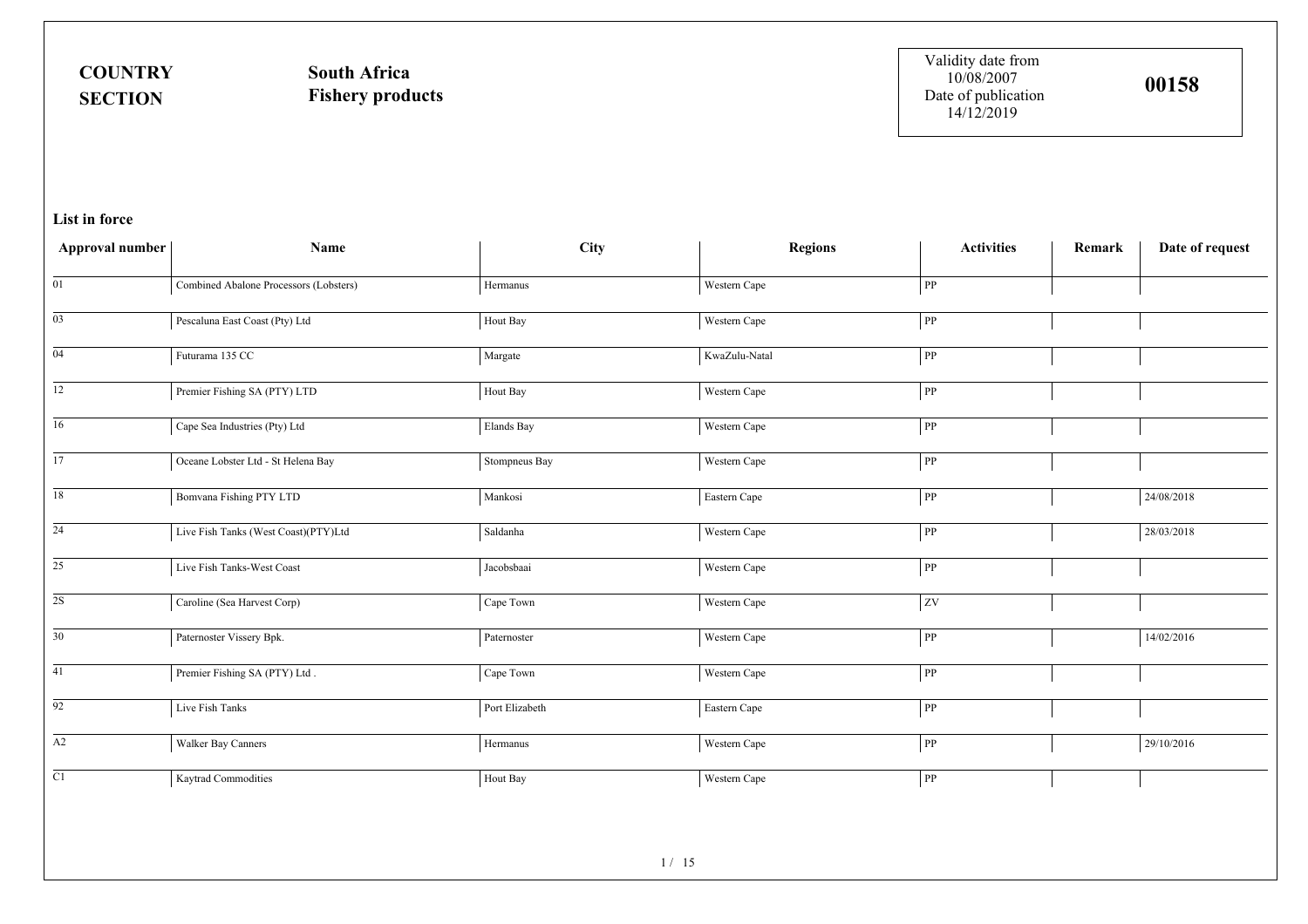**COUNTRYSECTION**

**South AfricaFishery products** Validity date from 10/08/2007Date of publication 14/12/2019

| Approval number | Name                                   | City                                | <b>Regions</b> | <b>Activities</b>      | Remark | Date of request |
|-----------------|----------------------------------------|-------------------------------------|----------------|------------------------|--------|-----------------|
| 01              | Combined Abalone Processors (Lobsters) | Hermanus                            | Western Cape   | ${\bf PP}$             |        |                 |
| $\overline{03}$ | Pescaluna East Coast (Pty) Ltd         | Hout Bay                            | Western Cape   | ${\rm PP}$             |        |                 |
| $\overline{04}$ | Futurama 135 CC                        | Margate                             | KwaZulu-Natal  | PP                     |        |                 |
| $\overline{12}$ | Premier Fishing SA (PTY) LTD           | Hout Bay                            | Western Cape   | ${\bf PP}$             |        |                 |
| $\overline{16}$ | Cape Sea Industries (Pty) Ltd          | Elands Bay                          | Western Cape   | PP                     |        |                 |
| $\overline{17}$ | Oceane Lobster Ltd - St Helena Bay     | Stompneus Bay                       | Western Cape   | $\overline{\text{PP}}$ |        |                 |
| 18              | Bomvana Fishing PTY LTD                | Mankosi                             | Eastern Cape   | ${\bf PP}$             |        | 24/08/2018      |
| $\overline{24}$ | Live Fish Tanks (West Coast)(PTY)Ltd   | Saldanha                            | Western Cape   | PP                     |        | 28/03/2018      |
| $\overline{25}$ | Live Fish Tanks-West Coast             | Jacobsbaai                          | Western Cape   | ${\bf PP}$             |        |                 |
| $\overline{2S}$ | Caroline (Sea Harvest Corp)            | Cape Town                           | Western Cape   | ${\bf ZV}$             |        |                 |
| $\overline{30}$ | Paternoster Vissery Bpk.               | $\ensuremath{\mathsf{Paternoster}}$ | Western Cape   | ${\rm PP}$             |        | 14/02/2016      |
| 41              | Premier Fishing SA (PTY) Ltd.          | Cape Town                           | Western Cape   | ${\bf PP}$             |        |                 |
| $\overline{92}$ | Live Fish Tanks                        | Port Elizabeth                      | Eastern Cape   | PP                     |        |                 |
| $\overline{A2}$ | Walker Bay Canners                     | $\rm Hermanus$                      | Western Cape   | PP                     |        | 29/10/2016      |
| $\overline{C1}$ | Kaytrad Commodities                    | Hout Bay                            | Western Cape   | PP                     |        |                 |
|                 |                                        |                                     |                |                        |        |                 |
|                 |                                        | 1/15                                |                |                        |        |                 |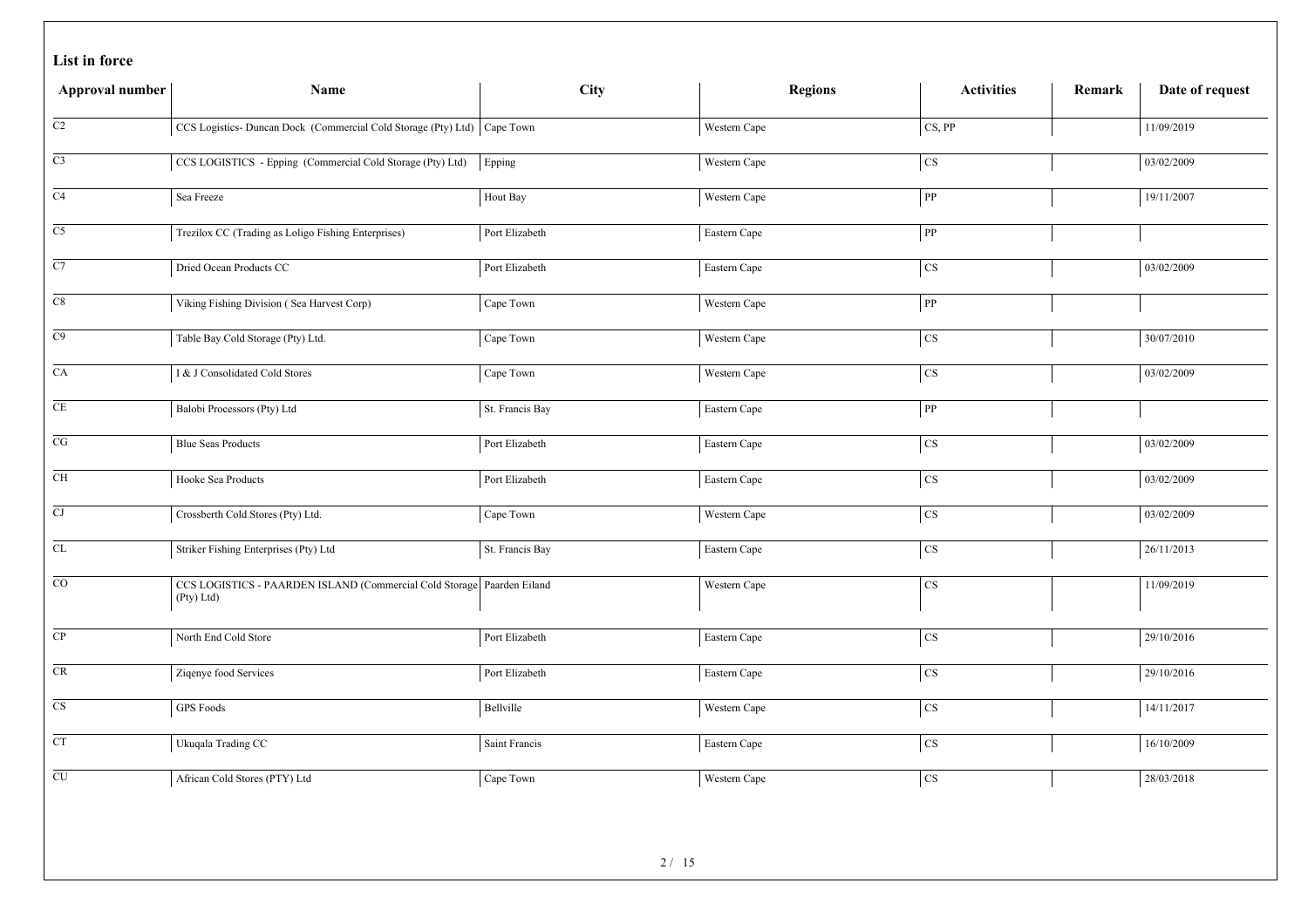|  |  | List in force |
|--|--|---------------|
|--|--|---------------|

| Approval number     | Name                                                                                 | <b>City</b>     | <b>Regions</b> | <b>Activities</b>      | Date of request<br>Remark |
|---------------------|--------------------------------------------------------------------------------------|-----------------|----------------|------------------------|---------------------------|
| C2                  | CCS Logistics- Duncan Dock (Commercial Cold Storage (Pty) Ltd) Cape Town             |                 | Western Cape   | CS, PP                 | 11/09/2019                |
| $\rm{C3}$           | CCS LOGISTICS - Epping (Commercial Cold Storage (Pty) Ltd)                           | Epping          | Western Cape   | $\overline{\text{cs}}$ | 03/02/2009                |
| C4                  | Sea Freeze                                                                           | Hout Bay        | Western Cape   | ${\bf PP}$             | 19/11/2007                |
| C <sub>5</sub>      | Trezilox CC (Trading as Loligo Fishing Enterprises)                                  | Port Elizabeth  | Eastern Cape   | PP                     |                           |
| C7                  | Dried Ocean Products CC                                                              | Port Elizabeth  | Eastern Cape   | $\overline{\text{CS}}$ | 03/02/2009                |
| $\rm{C}8$           | Viking Fishing Division (Sea Harvest Corp)                                           | Cape Town       | Western Cape   | ${\bf PP}$             |                           |
| C9                  | Table Bay Cold Storage (Pty) Ltd.                                                    | Cape Town       | Western Cape   | $_{\rm CS}$            | 30/07/2010                |
| $\overline{CA}$     | I & J Consolidated Cold Stores                                                       | Cape Town       | Western Cape   | $\overline{\text{cs}}$ | 03/02/2009                |
| $\rm CE$            | Balobi Processors (Pty) Ltd                                                          | St. Francis Bay | Eastern Cape   | ${\bf PP}$             |                           |
| $\overline{CG}$     | <b>Blue Seas Products</b>                                                            | Port Elizabeth  | Eastern Cape   | <b>CS</b>              | 03/02/2009                |
| CH                  | Hooke Sea Products                                                                   | Port Elizabeth  | Eastern Cape   | $\overline{\text{cs}}$ | 03/02/2009                |
| $\overline{\rm CJ}$ | Crossberth Cold Stores (Pty) Ltd.                                                    | Cape Town       | Western Cape   | <b>CS</b>              | 03/02/2009                |
| ${\rm CL}$          | Striker Fishing Enterprises (Pty) Ltd                                                | St. Francis Bay | Eastern Cape   | $_{\rm CS}$            | 26/11/2013                |
| $\overline{CO}$     | CCS LOGISTICS - PAARDEN ISLAND (Commercial Cold Storage Paarden Eiland<br>(Pty) Ltd) |                 | Western Cape   | $\rm CS$               | 11/09/2019                |
| CP                  | North End Cold Store                                                                 | Port Elizabeth  | Eastern Cape   | $\overline{\text{CS}}$ | 29/10/2016                |
| CR                  | Ziqenye food Services                                                                | Port Elizabeth  | Eastern Cape   | $\overline{\text{cs}}$ | 29/10/2016                |
| CS                  | <b>GPS</b> Foods                                                                     | Bellville       | Western Cape   | <b>CS</b>              | 14/11/2017                |
| <b>CT</b>           | Ukuqala Trading CC                                                                   | Saint Francis   | Eastern Cape   | $\mathbf{C}\mathbf{S}$ | 16/10/2009                |
| CU                  | African Cold Stores (PTY) Ltd                                                        | Cape Town       | Western Cape   | $\overline{\text{cs}}$ | 28/03/2018                |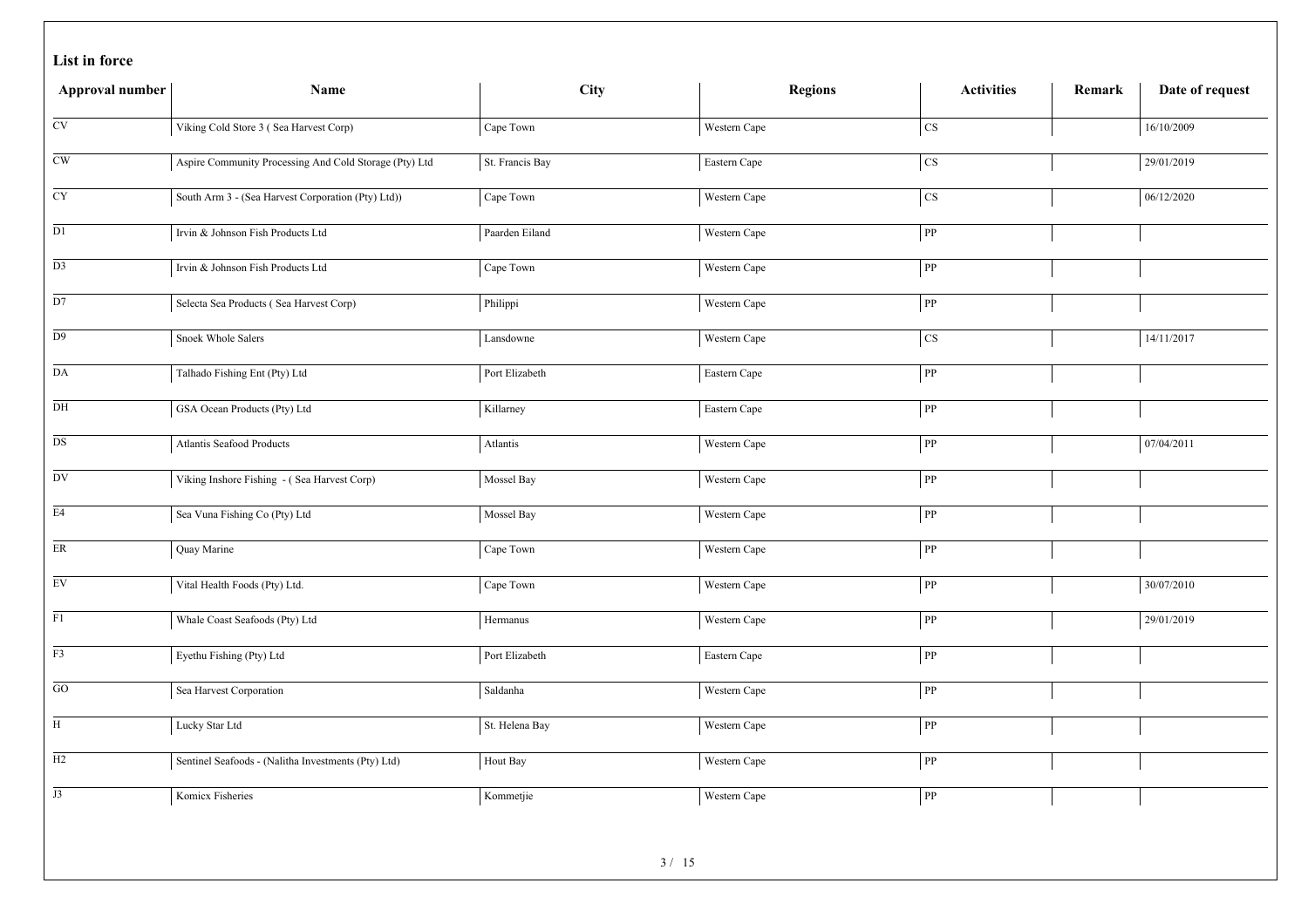|  |  | List in force |
|--|--|---------------|
|--|--|---------------|

| Approval number            | Name                                                   | City            | <b>Regions</b> | <b>Activities</b> | Remark | Date of request |
|----------------------------|--------------------------------------------------------|-----------------|----------------|-------------------|--------|-----------------|
| $\mathrm{CV}$              | Viking Cold Store 3 (Sea Harvest Corp)                 | Cape Town       | Western Cape   | $\rm{CS}$         |        | 16/10/2009      |
| $\mathrm{CW}$              | Aspire Community Processing And Cold Storage (Pty) Ltd | St. Francis Bay | Eastern Cape   | $\cos$            |        | 29/01/2019      |
| <b>CY</b>                  | South Arm 3 - (Sea Harvest Corporation (Pty) Ltd))     | Cape Town       | Western Cape   | $\rm{CS}$         |        | 06/12/2020      |
| $\mathop{\rm D}\nolimits1$ | Irvin & Johnson Fish Products Ltd                      | Paarden Eiland  | Western Cape   | ${\bf PP}$        |        |                 |
| D <sub>3</sub>             | Irvin & Johnson Fish Products Ltd                      | Cape Town       | Western Cape   | ${\rm PP}$        |        |                 |
| D7                         | Selecta Sea Products (Sea Harvest Corp)                | Philippi        | Western Cape   | ${\bf pp}$        |        |                 |
| D <sub>9</sub>             | Snoek Whole Salers                                     | Lansdowne       | Western Cape   | $\cos$            |        | 14/11/2017      |
| $\mathbf{DA}$              | Talhado Fishing Ent (Pty) Ltd                          | Port Elizabeth  | Eastern Cape   | ${\bf PP}$        |        |                 |
| DH                         | GSA Ocean Products (Pty) Ltd                           | Killarney       | Eastern Cape   | ${\bf PP}$        |        |                 |
| $_{\rm DS}$                | Atlantis Seafood Products                              | Atlantis        | Western Cape   | ${\bf PP}$        |        | 07/04/2011      |
| DV                         | Viking Inshore Fishing - (Sea Harvest Corp)            | Mossel Bay      | Western Cape   | ${\bf PP}$        |        |                 |
| E4                         | Sea Vuna Fishing Co (Pty) Ltd                          | Mossel Bay      | Western Cape   | ${\rm PP}$        |        |                 |
| $\rm ER$                   | Quay Marine                                            | Cape Town       | Western Cape   | PP                |        |                 |
| $E$ V                      | Vital Health Foods (Pty) Ltd.                          | Cape Town       | Western Cape   | ${\rm PP}$        |        | 30/07/2010      |
| F1                         | Whale Coast Seafoods (Pty) Ltd                         | Hermanus        | Western Cape   | ${\bf PP}$        |        | 29/01/2019      |
| $\overline{F3}$            | Eyethu Fishing (Pty) Ltd                               | Port Elizabeth  | Eastern Cape   | ${\bf PP}$        |        |                 |
| GO                         | Sea Harvest Corporation                                | Saldanha        | Western Cape   | ${\bf PP}$        |        |                 |
| H                          | Lucky Star Ltd                                         | St. Helena Bay  | Western Cape   | ${\bf PP}$        |        |                 |
| H2                         | Sentinel Seafoods - (Nalitha Investments (Pty) Ltd)    | Hout Bay        | Western Cape   | ${\bf PP}$        |        |                 |
| J3                         | Komicx Fisheries                                       | Kommetjie       | Western Cape   | ${\bf PP}$        |        |                 |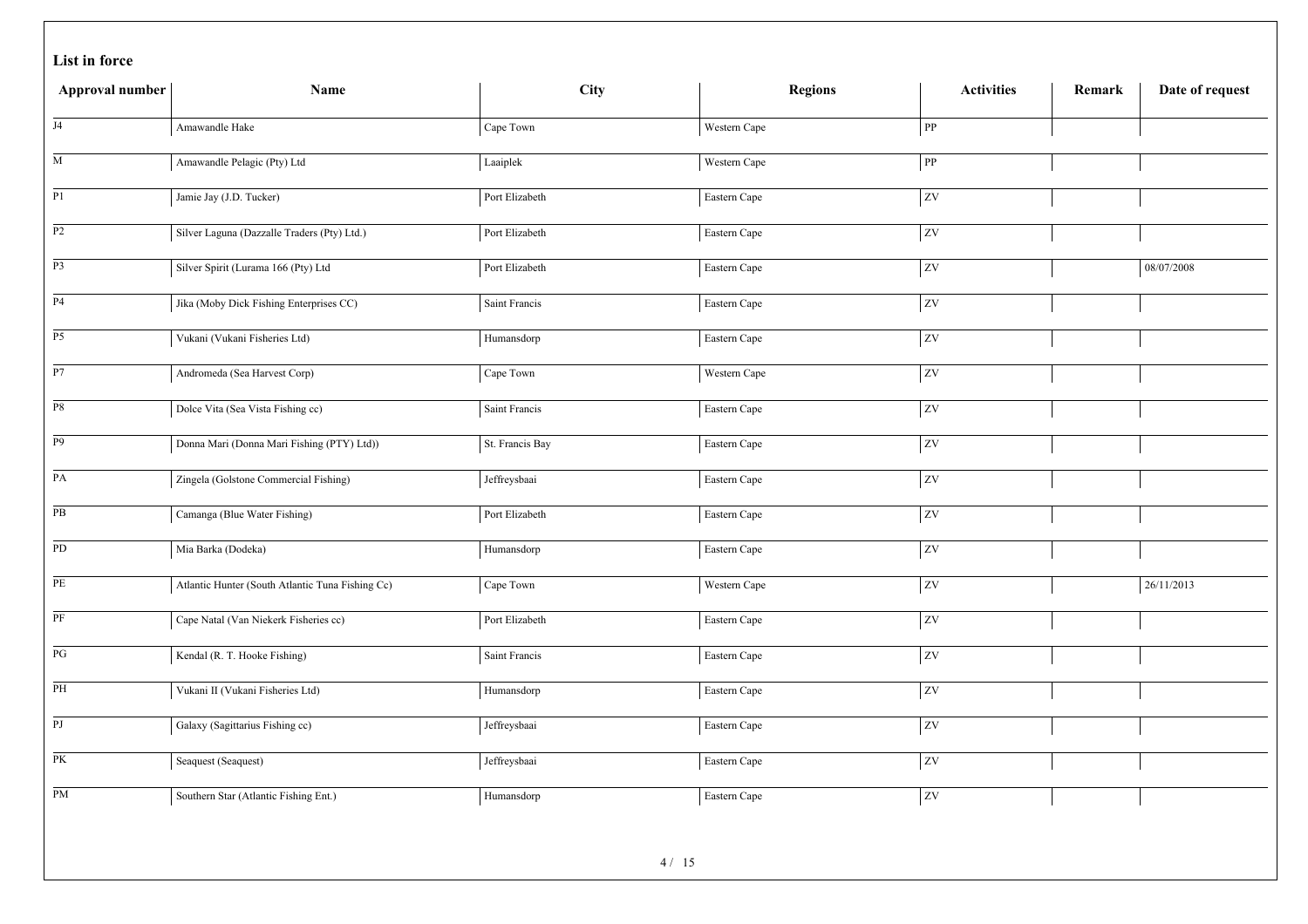| Approval number        | Name                                             | <b>City</b>     | <b>Regions</b> | <b>Activities</b> | Remark | Date of request |
|------------------------|--------------------------------------------------|-----------------|----------------|-------------------|--------|-----------------|
| J <sub>4</sub>         | Amawandle Hake                                   | Cape Town       | Western Cape   | ${\bf pp}$        |        |                 |
| M                      | Amawandle Pelagic (Pty) Ltd                      | Laaiplek        | Western Cape   | ${\bf PP}$        |        |                 |
| P1                     | Jamie Jay (J.D. Tucker)                          | Port Elizabeth  | Eastern Cape   | $ _{\text{ZV}}$   |        |                 |
| P2                     | Silver Laguna (Dazzalle Traders (Pty) Ltd.)      | Port Elizabeth  | Eastern Cape   | ZV                |        |                 |
| P <sub>3</sub>         | Silver Spirit (Lurama 166 (Pty) Ltd              | Port Elizabeth  | Eastern Cape   | ZV                |        | 08/07/2008      |
| <b>P4</b>              | Jika (Moby Dick Fishing Enterprises CC)          | Saint Francis   | Eastern Cape   | ZV                |        |                 |
| P <sub>5</sub>         | Vukani (Vukani Fisheries Ltd)                    | Humansdorp      | Eastern Cape   | $ _{\rm ZV}$      |        |                 |
| $\overline{P7}$        | Andromeda (Sea Harvest Corp)                     | Cape Town       | Western Cape   | ZV                |        |                 |
| $_{\mathrm{P8}}$       | Dolce Vita (Sea Vista Fishing cc)                | Saint Francis   | Eastern Cape   | $ _{\text{ZV}}$   |        |                 |
| $\overline{P9}$        | Donna Mari (Donna Mari Fishing (PTY) Ltd))       | St. Francis Bay | Eastern Cape   | ZV                |        |                 |
| PA                     | Zingela (Golstone Commercial Fishing)            | Jeffreysbaai    | Eastern Cape   | ZV                |        |                 |
| $\overline{PB}$        | Camanga (Blue Water Fishing)                     | Port Elizabeth  | Eastern Cape   | ZV                |        |                 |
| PD                     | Mia Barka (Dodeka)                               | Humansdorp      | Eastern Cape   | ZV                |        |                 |
| PE                     | Atlantic Hunter (South Atlantic Tuna Fishing Cc) | Cape Town       | Western Cape   | <b>ZV</b>         |        | 26/11/2013      |
| $\rm PF$               | Cape Natal (Van Niekerk Fisheries cc)            | Port Elizabeth  | Eastern Cape   | $ _{\text{ZV}}$   |        |                 |
| $\mathbf{P}\mathbf{G}$ | Kendal (R. T. Hooke Fishing)                     | Saint Francis   | Eastern Cape   | ZV                |        |                 |
| PH                     | Vukani II (Vukani Fisheries Ltd)                 | Humansdorp      | Eastern Cape   | $ _{\rm ZV}$      |        |                 |
| $\overline{PJ}$        | Galaxy (Sagittarius Fishing cc)                  | Jeffreysbaai    | Eastern Cape   | $ _{\text{ZV}}$   |        |                 |
| PK                     | Seaquest (Seaquest)                              | Jeffreysbaai    | Eastern Cape   | ZV                |        |                 |
| PM                     | Southern Star (Atlantic Fishing Ent.)            | Humansdorp      | Eastern Cape   | <b>ZV</b>         |        |                 |
|                        |                                                  | $\cdots$        |                |                   |        |                 |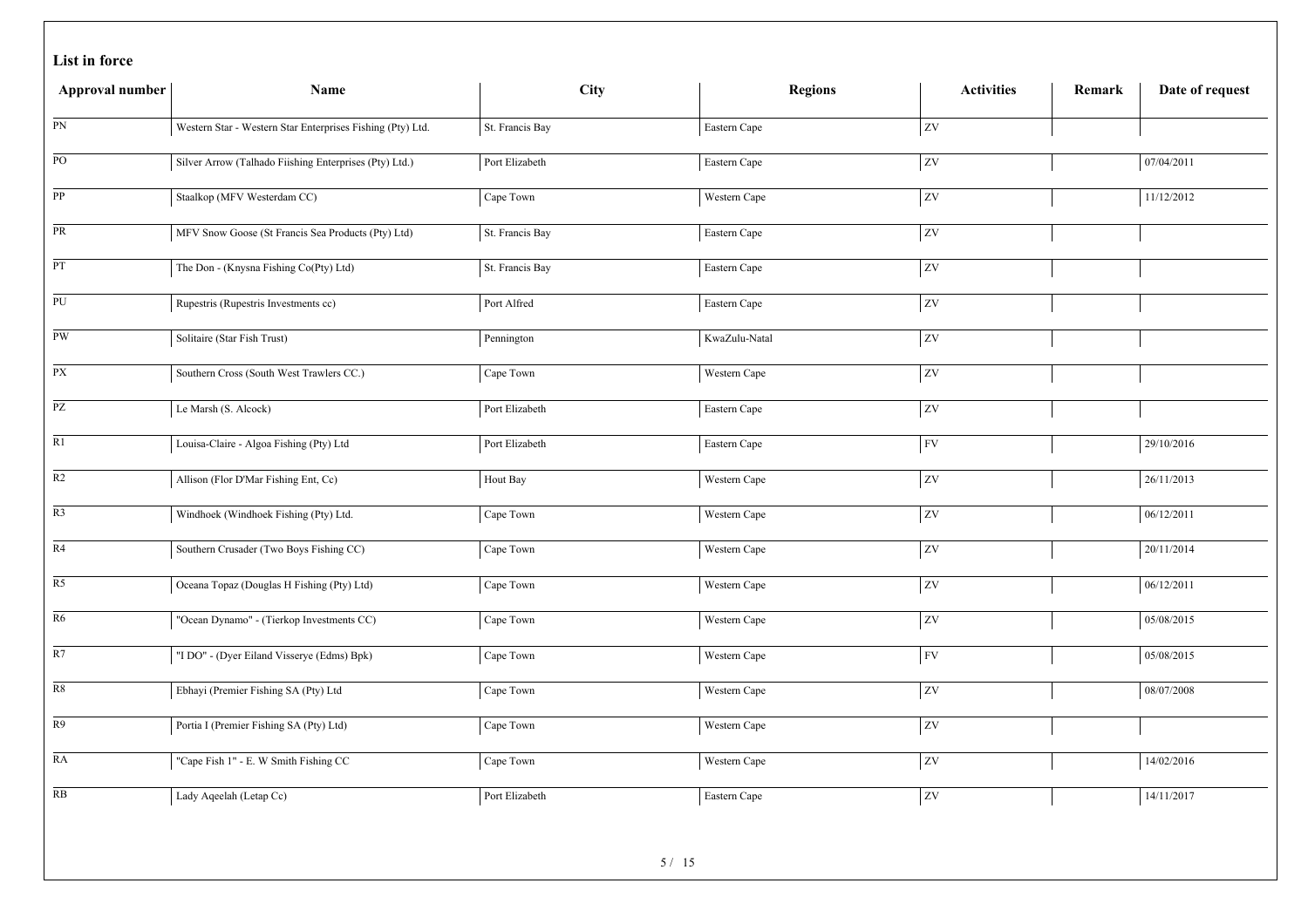|  |  | List in force |
|--|--|---------------|
|--|--|---------------|

| Approval number | Name                                                       | <b>City</b>               | <b>Regions</b> | <b>Activities</b> | Remark | Date of request |
|-----------------|------------------------------------------------------------|---------------------------|----------------|-------------------|--------|-----------------|
| ${\rm PN}$      | Western Star - Western Star Enterprises Fishing (Pty) Ltd. | St. Francis Bay           | Eastern Cape   | ZV                |        |                 |
| $\rm PO$        | Silver Arrow (Talhado Fiishing Enterprises (Pty) Ltd.)     | Port Elizabeth            | Eastern Cape   | zv                |        | 07/04/2011      |
| PP              | Staalkop (MFV Westerdam CC)                                | Cape Town                 | Western Cape   | ${\bf ZV}$        |        | 11/12/2012      |
| PR              | MFV Snow Goose (St Francis Sea Products (Pty) Ltd)         | St. Francis Bay           | Eastern Cape   | ZV                |        |                 |
| $\mathbf{PT}$   | The Don - (Knysna Fishing Co(Pty) Ltd)                     | St. Francis Bay           | Eastern Cape   | ZV                |        |                 |
| ${\rm PU}$      | Rupestris (Rupestris Investments cc)                       | Port Alfred               | Eastern Cape   | ZV                |        |                 |
| PW              | Solitaire (Star Fish Trust)                                | Pennington                | KwaZulu-Natal  | ZV                |        |                 |
| $\overline{PX}$ | Southern Cross (South West Trawlers CC.)                   | Cape Town                 | Western Cape   | ZV                |        |                 |
| $\overline{PZ}$ | Le Marsh (S. Alcock)                                       | Port Elizabeth            | Eastern Cape   | ZV                |        |                 |
| $\overline{R1}$ | Louisa-Claire - Algoa Fishing (Pty) Ltd                    | Port Elizabeth            | Eastern Cape   | <b>FV</b>         |        | 29/10/2016      |
| $\mathbb{R}2$   | Allison (Flor D'Mar Fishing Ent, Cc)                       | Hout Bay                  | Western Cape   | ZV                |        | 26/11/2013      |
| $\overline{R3}$ | Windhoek (Windhoek Fishing (Pty) Ltd.                      | Cape Town                 | Western Cape   | ZV                |        | 06/12/2011      |
| R4              | Southern Crusader (Two Boys Fishing CC)                    | Cape Town                 | Western Cape   | ZV                |        | 20/11/2014      |
| $\overline{R5}$ | Oceana Topaz (Douglas H Fishing (Pty) Ltd)                 | Cape Town                 | Western Cape   | ZV                |        | 06/12/2011      |
| R <sub>6</sub>  | "Ocean Dynamo" - (Tierkop Investments CC)                  | Cape Town                 | Western Cape   | ZV                |        | 05/08/2015      |
| R7              | "I DO" - (Dyer Eiland Visserye (Edms) Bpk)                 | Cape Town                 | Western Cape   | <b>FV</b>         |        | 05/08/2015      |
| ${\bf R8}$      | Ebhayi (Premier Fishing SA (Pty) Ltd                       | Cape Town                 | Western Cape   | <b>ZV</b>         |        | 08/07/2008      |
| R9              | Portia I (Premier Fishing SA (Pty) Ltd)                    | Cape Town                 | Western Cape   | ZV                |        |                 |
| RA              | "Cape Fish 1" - E. W Smith Fishing CC                      | Cape Town                 | Western Cape   | ZV                |        | 14/02/2016      |
| RB              | Lady Aqeelah (Letap Cc)                                    | Port Elizabeth            | Eastern Cape   | <b>ZV</b>         |        | 14/11/2017      |
|                 |                                                            | $\epsilon$ / 1 $\epsilon$ |                |                   |        |                 |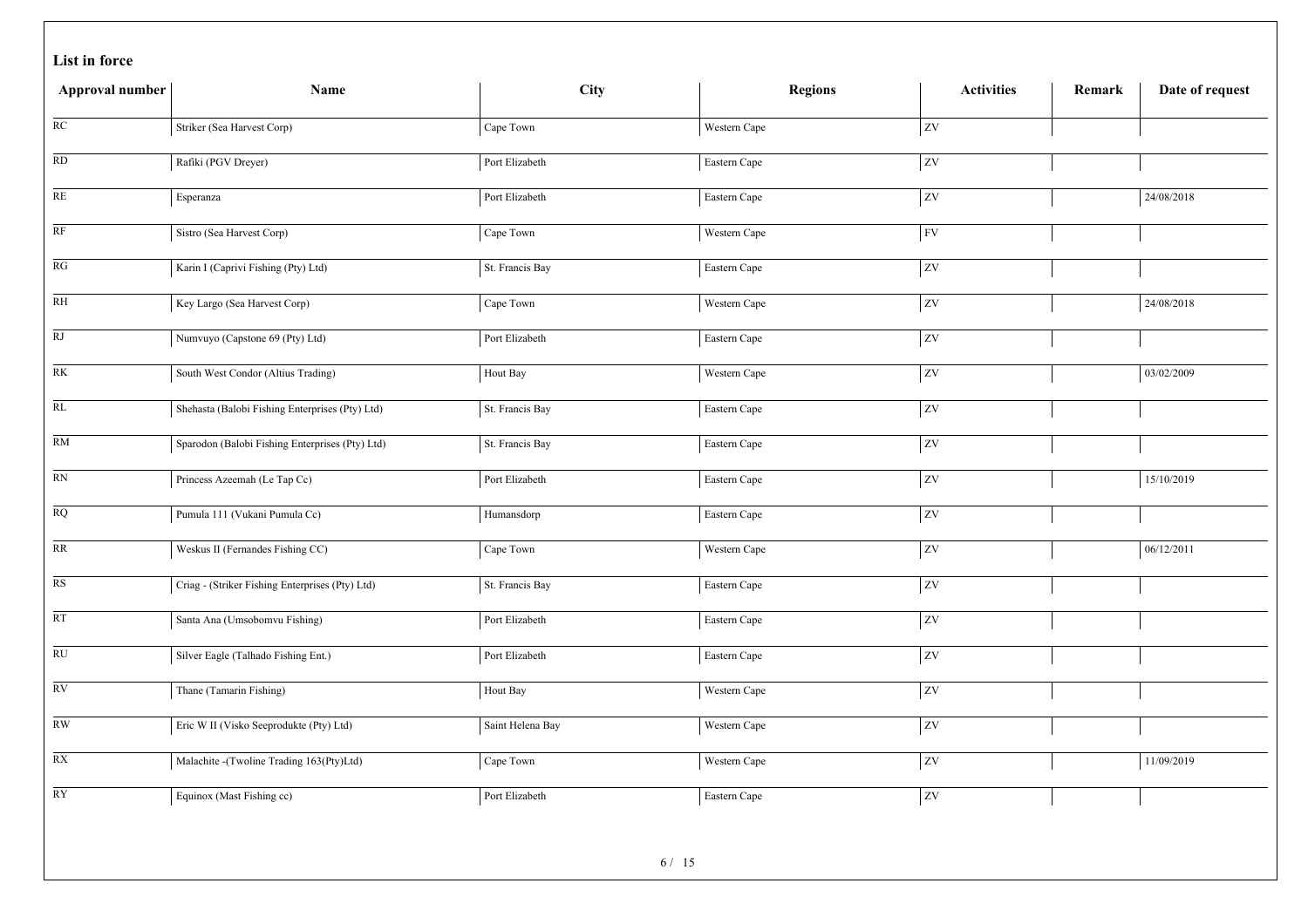| Approval number         | Name                                            | <b>City</b>      | <b>Regions</b> | <b>Activities</b>          | Remark | Date of request |
|-------------------------|-------------------------------------------------|------------------|----------------|----------------------------|--------|-----------------|
| $\overline{RC}$         | Striker (Sea Harvest Corp)                      | Cape Town        | Western Cape   | ZV                         |        |                 |
| RD                      | Rafiki (PGV Dreyer)                             | Port Elizabeth   | Eastern Cape   | ZV                         |        |                 |
| RE                      | Esperanza                                       | Port Elizabeth   | Eastern Cape   | ZV                         |        | 24/08/2018      |
| RF                      | Sistro (Sea Harvest Corp)                       | Cape Town        | Western Cape   | $\ensuremath{\mathrm{FV}}$ |        |                 |
| RG                      | Karin I (Caprivi Fishing (Pty) Ltd)             | St. Francis Bay  | Eastern Cape   | ZV                         |        |                 |
| RH                      | Key Largo (Sea Harvest Corp)                    | Cape Town        | Western Cape   | $\overline{ZV}$            |        | 24/08/2018      |
| RJ                      | Numvuyo (Capstone 69 (Pty) Ltd)                 | Port Elizabeth   | Eastern Cape   | ZV                         |        |                 |
| RK                      | South West Condor (Altius Trading)              | Hout Bay         | Western Cape   | ZV                         |        | 03/02/2009      |
| $\overline{RL}$         | Shehasta (Balobi Fishing Enterprises (Pty) Ltd) | St. Francis Bay  | Eastern Cape   | ZV                         |        |                 |
| RM                      | Sparodon (Balobi Fishing Enterprises (Pty) Ltd) | St. Francis Bay  | Eastern Cape   | $\overline{zv}$            |        |                 |
| $\mathbb{R}\mathcal{N}$ | Princess Azeemah (Le Tap Cc)                    | Port Elizabeth   | Eastern Cape   | ZV                         |        | 15/10/2019      |
| $\overline{RQ}$         | Pumula 111 (Vukani Pumula Cc)                   | Humansdorp       | Eastern Cape   | $\overline{z}$             |        |                 |
| RR                      | Weskus II (Fernandes Fishing CC)                | Cape Town        | Western Cape   | ZV                         |        | 06/12/2011      |
| $\overline{\text{RS}}$  | Criag - (Striker Fishing Enterprises (Pty) Ltd) | St. Francis Bay  | Eastern Cape   | ZV                         |        |                 |
| RT                      | Santa Ana (Umsobomvu Fishing)                   | Port Elizabeth   | Eastern Cape   | ZV                         |        |                 |
| $\overline{RU}$         | Silver Eagle (Talhado Fishing Ent.)             | Port Elizabeth   | Eastern Cape   | $\overline{z}$             |        |                 |
| RV                      | Thane (Tamarin Fishing)                         | Hout Bay         | Western Cape   | ZV                         |        |                 |
| $\mathbf{RW}$           | Eric W II (Visko Seeprodukte (Pty) Ltd)         | Saint Helena Bay | Western Cape   | ZV                         |        |                 |
| $\overline{RX}$         | Malachite -(Twoline Trading 163(Pty)Ltd)        | Cape Town        | Western Cape   | ZV                         |        | 11/09/2019      |
| <b>RY</b>               | Equinox (Mast Fishing cc)                       | Port Elizabeth   | Eastern Cape   | ZV                         |        |                 |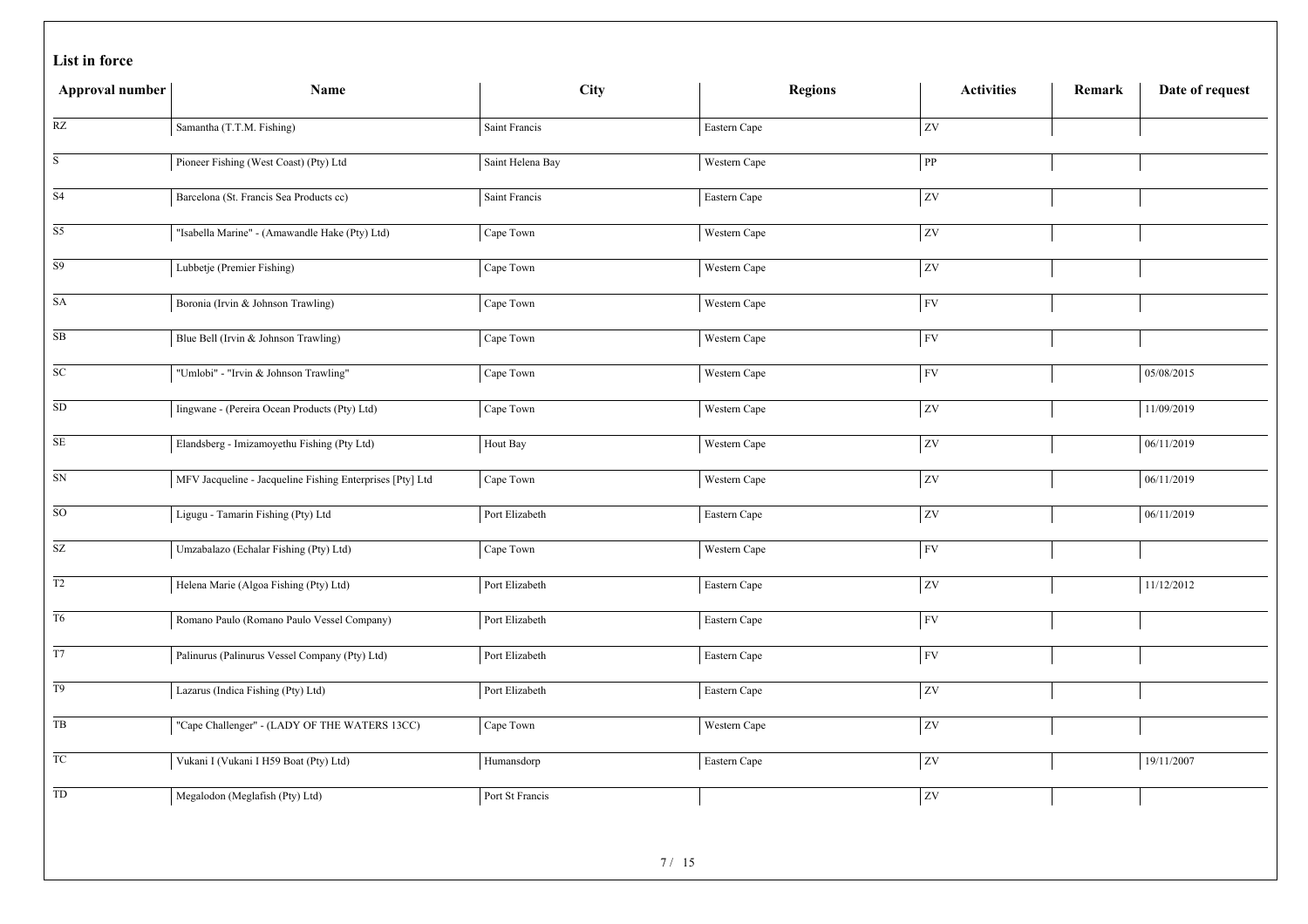|  |  | List in force |
|--|--|---------------|
|--|--|---------------|

| Approval number            | Name                                                      | City             | <b>Regions</b> | <b>Activities</b>      | Remark | Date of request |
|----------------------------|-----------------------------------------------------------|------------------|----------------|------------------------|--------|-----------------|
| RZ                         | Samantha (T.T.M. Fishing)                                 | Saint Francis    | Eastern Cape   | zv                     |        |                 |
| S                          | Pioneer Fishing (West Coast) (Pty) Ltd                    | Saint Helena Bay | Western Cape   | $\overline{\text{PP}}$ |        |                 |
| S <sub>4</sub>             | Barcelona (St. Francis Sea Products cc)                   | Saint Francis    | Eastern Cape   | <b>ZV</b>              |        |                 |
| S5                         | "Isabella Marine" - (Amawandle Hake (Pty) Ltd)            | Cape Town        | Western Cape   | ZV                     |        |                 |
| $\mathbf{S}9$              | Lubbetje (Premier Fishing)                                | Cape Town        | Western Cape   | ZV                     |        |                 |
| SA                         | Boronia (Irvin & Johnson Trawling)                        | Cape Town        | Western Cape   | <b>FV</b>              |        |                 |
| $\rm SB$                   | Blue Bell (Irvin & Johnson Trawling)                      | Cape Town        | Western Cape   | ${\rm FV}$             |        |                 |
| ${\rm SC}$                 | "Umlobi" - "Irvin & Johnson Trawling"                     | Cape Town        | Western Cape   | FV                     |        | 05/08/2015      |
| ${\rm SD}$                 | Iingwane - (Pereira Ocean Products (Pty) Ltd)             | Cape Town        | Western Cape   | ZV                     |        | 11/09/2019      |
| $\overline{\text{SE}}$     | Elandsberg - Imizamoyethu Fishing (Pty Ltd)               | Hout Bay         | Western Cape   | zv                     |        | 06/11/2019      |
| ${\rm SN}$                 | MFV Jacqueline - Jacqueline Fishing Enterprises [Pty] Ltd | Cape Town        | Western Cape   | $ _{\text{ZV}}$        |        | 06/11/2019      |
| $\overline{SO}$            | Ligugu - Tamarin Fishing (Pty) Ltd                        | Port Elizabeth   | Eastern Cape   | zv                     |        | 06/11/2019      |
| $\ensuremath{\mathrm{SZ}}$ | Umzabalazo (Echalar Fishing (Pty) Ltd)                    | Cape Town        | Western Cape   | <b>FV</b>              |        |                 |
| $\overline{T2}$            | Helena Marie (Algoa Fishing (Pty) Ltd)                    | Port Elizabeth   | Eastern Cape   | ZV                     |        | 11/12/2012      |
| T <sub>6</sub>             | Romano Paulo (Romano Paulo Vessel Company)                | Port Elizabeth   | Eastern Cape   | FV                     |        |                 |
| $\overline{T7}$            | Palinurus (Palinurus Vessel Company (Pty) Ltd)            | Port Elizabeth   | Eastern Cape   | <b>FV</b>              |        |                 |
| T <sub>9</sub>             | Lazarus (Indica Fishing (Pty) Ltd)                        | Port Elizabeth   | Eastern Cape   | zv                     |        |                 |
| TB                         | "Cape Challenger" - (LADY OF THE WATERS 13CC)             | Cape Town        | Western Cape   | <b>ZV</b>              |        |                 |
| TC                         | Vukani I (Vukani I H59 Boat (Pty) Ltd)                    | Humansdorp       | Eastern Cape   | ZV                     |        | 19/11/2007      |
| ${\rm TD}$                 | Megalodon (Meglafish (Pty) Ltd)                           | Port St Francis  |                | <b>ZV</b>              |        |                 |
|                            |                                                           | $-1$             |                |                        |        |                 |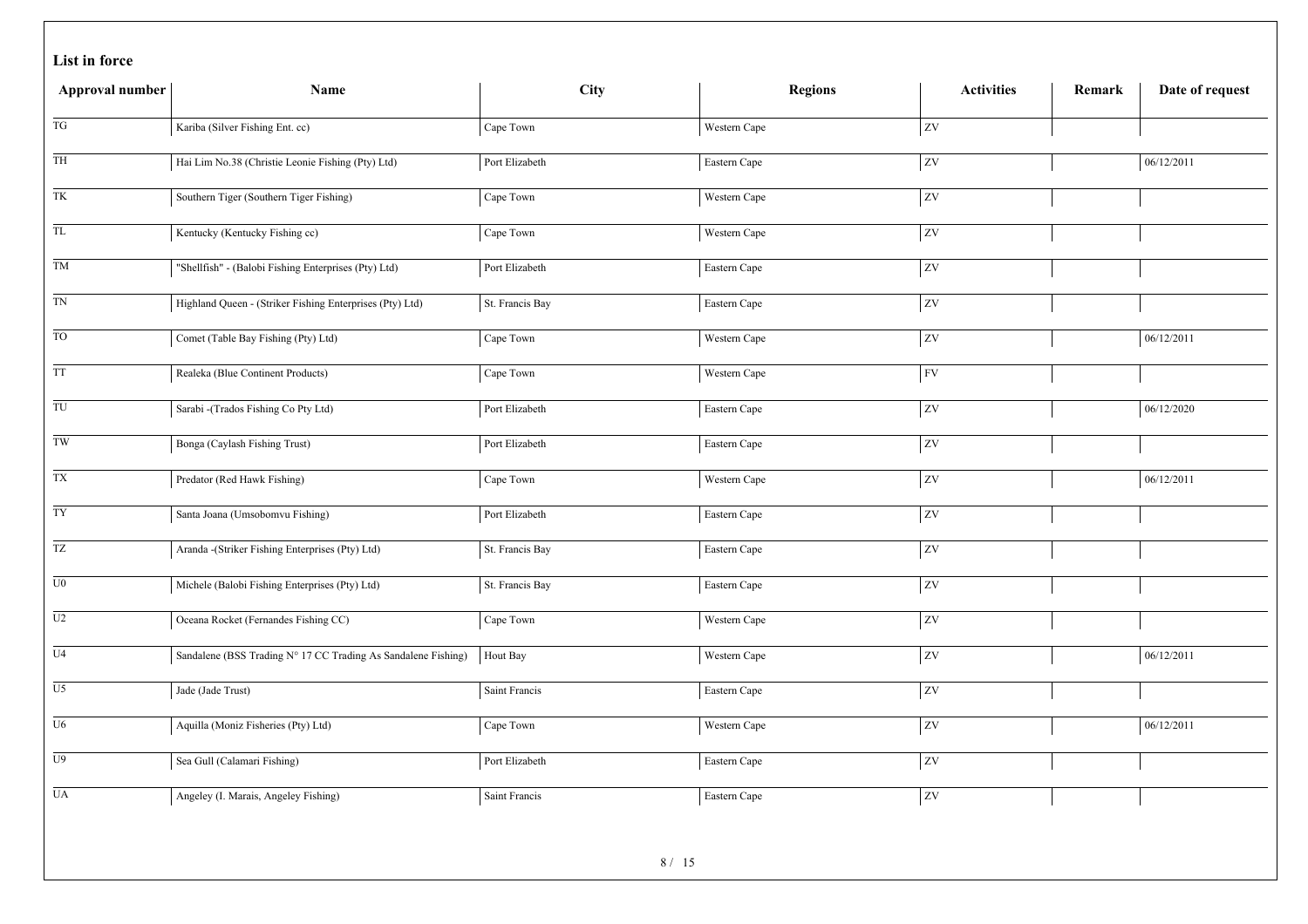|  |  | List in force |
|--|--|---------------|
|--|--|---------------|

| Approval number                                  | Name                                                          | City                    | <b>Regions</b> | <b>Activities</b> | Remark | Date of request |
|--------------------------------------------------|---------------------------------------------------------------|-------------------------|----------------|-------------------|--------|-----------------|
| TG                                               | Kariba (Silver Fishing Ent. cc)                               | Cape Town               | Western Cape   | <b>ZV</b>         |        |                 |
| TH                                               | Hai Lim No.38 (Christie Leonie Fishing (Pty) Ltd)             | Port Elizabeth          | Eastern Cape   | ZV                |        | 06/12/2011      |
| TK                                               | Southern Tiger (Southern Tiger Fishing)                       | Cape Town               | Western Cape   | <b>ZV</b>         |        |                 |
| $\overline{\text{TL}}$                           | Kentucky (Kentucky Fishing cc)                                | Cape Town               | Western Cape   | ZV                |        |                 |
| TM                                               | "Shellfish" - (Balobi Fishing Enterprises (Pty) Ltd)          | Port Elizabeth          | Eastern Cape   | ZV                |        |                 |
| $\mathcal{T}\mathcal{N}$                         | Highland Queen - (Striker Fishing Enterprises (Pty) Ltd)      | St. Francis Bay         | Eastern Cape   | $\overline{zv}$   |        |                 |
| $\overline{TO}$                                  | Comet (Table Bay Fishing (Pty) Ltd)                           | Cape Town               | Western Cape   | $ _{\rm ZV}$      |        | 06/12/2011      |
| TT                                               | Realeka (Blue Continent Products)                             | Cape Town               | Western Cape   | <b>FV</b>         |        |                 |
| $\ensuremath{\mathsf{T}}\ensuremath{\mathsf{U}}$ | Sarabi -(Trados Fishing Co Pty Ltd)                           | Port Elizabeth          | Eastern Cape   | ZV                |        | 06/12/2020      |
| $\overline{TW}$                                  | Bonga (Caylash Fishing Trust)                                 | Port Elizabeth          | Eastern Cape   | zv                |        |                 |
| $\mathcal{T}\mathcal{X}$                         | Predator (Red Hawk Fishing)                                   | Cape Town               | Western Cape   | $\overline{z}$    |        | 06/12/2011      |
| TY <sub>1</sub>                                  | Santa Joana (Umsobomvu Fishing)                               | Port Elizabeth          | Eastern Cape   | ZV                |        |                 |
| $\ensuremath{\mathsf{T}}\ensuremath{\mathsf{Z}}$ | Aranda -(Striker Fishing Enterprises (Pty) Ltd)               | St. Francis Bay         | Eastern Cape   | ZV                |        |                 |
| $\overline{U}0$                                  | Michele (Balobi Fishing Enterprises (Pty) Ltd)                | St. Francis Bay         | Eastern Cape   | zv                |        |                 |
| $\mathop{\mathrm{U2}}$                           | Oceana Rocket (Fernandes Fishing CC)                          | Cape Town               | Western Cape   | zv                |        |                 |
| $\overline{U4}$                                  | Sandalene (BSS Trading N° 17 CC Trading As Sandalene Fishing) | Hout Bay                | Western Cape   | zv                |        | 06/12/2011      |
| U <sub>5</sub>                                   | Jade (Jade Trust)                                             | Saint Francis           | Eastern Cape   | $ _{\rm ZV}$      |        |                 |
| U <sub>6</sub>                                   | Aquilla (Moniz Fisheries (Pty) Ltd)                           | Cape Town               | Western Cape   | zv                |        | 06/12/2011      |
| U <sub>9</sub>                                   | Sea Gull (Calamari Fishing)                                   | Port Elizabeth          | Eastern Cape   | $\overline{ZV}$   |        |                 |
| $\overline{UA}$                                  | Angeley (I. Marais, Angeley Fishing)                          | Saint Francis           | Eastern Cape   | <b>ZV</b>         |        |                 |
|                                                  |                                                               | $Q/I$ $I$ $\mathcal{L}$ |                |                   |        |                 |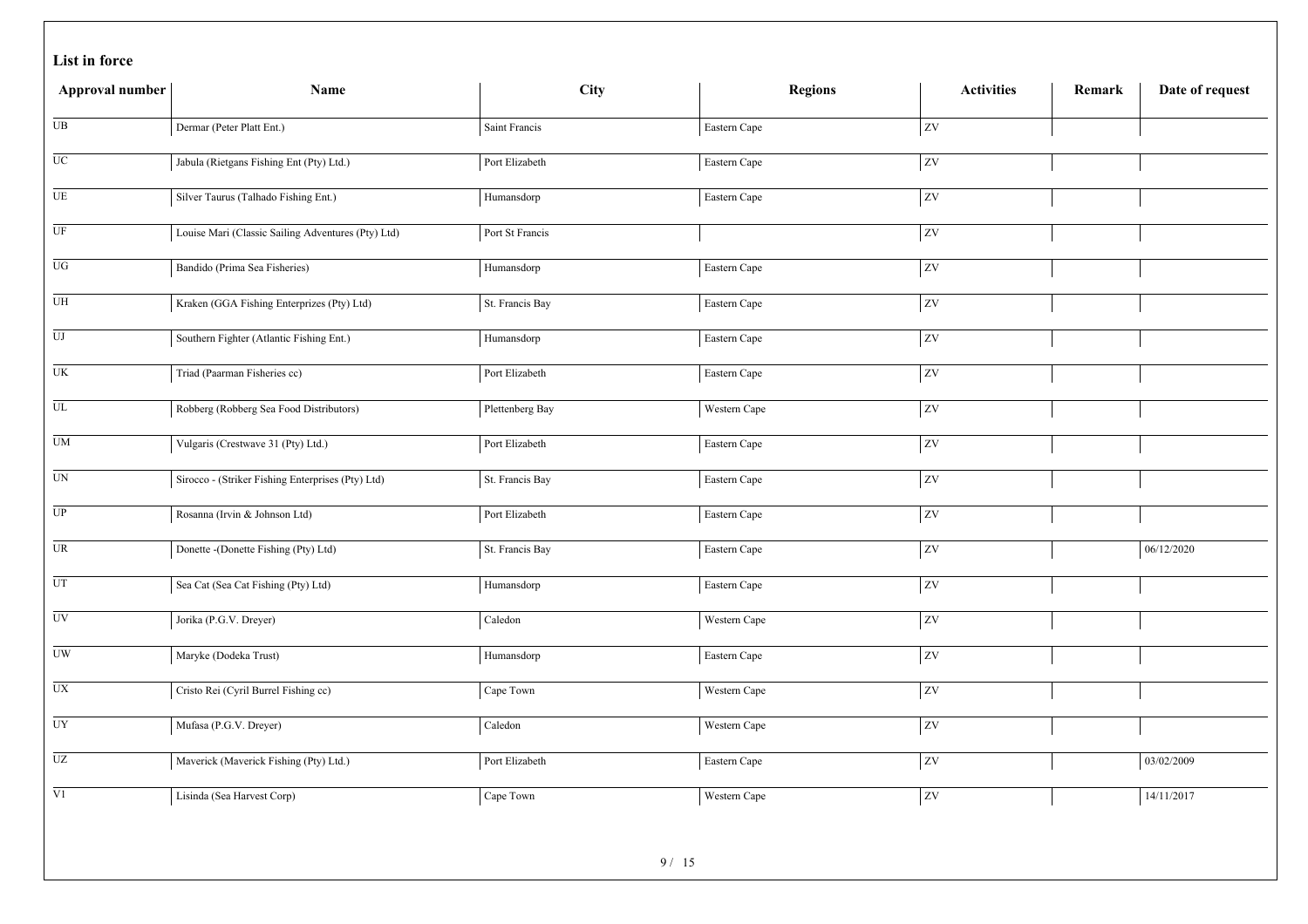|  |  | List in force |
|--|--|---------------|
|--|--|---------------|

| Approval number                   | Name                                               | City                     | <b>Regions</b> | <b>Activities</b> | Remark | Date of request |
|-----------------------------------|----------------------------------------------------|--------------------------|----------------|-------------------|--------|-----------------|
| $_{\rm UB}$                       | Dermar (Peter Platt Ent.)                          | Saint Francis            | Eastern Cape   | <b>ZV</b>         |        |                 |
| $\overline{UC}$                   | Jabula (Rietgans Fishing Ent (Pty) Ltd.)           | Port Elizabeth           | Eastern Cape   | $\overline{ZV}$   |        |                 |
| $\rm{UE}$                         | Silver Taurus (Talhado Fishing Ent.)               | Humansdorp               | Eastern Cape   | <b>ZV</b>         |        |                 |
| $\overline{UF}$                   | Louise Mari (Classic Sailing Adventures (Pty) Ltd) | Port St Francis          |                | $\overline{ZV}$   |        |                 |
| $\overline{UG}$                   | Bandido (Prima Sea Fisheries)                      | Humansdorp               | Eastern Cape   | ZV                |        |                 |
| ${\rm U}{\rm H}$                  | Kraken (GGA Fishing Enterprizes (Pty) Ltd)         | St. Francis Bay          | Eastern Cape   | ZV                |        |                 |
| $\overline{\mathrm{U}\mathrm{J}}$ | Southern Fighter (Atlantic Fishing Ent.)           | Humansdorp               | Eastern Cape   | $ _{\text{ZV}}$   |        |                 |
| $\overline{UK}$                   | Triad (Paarman Fisheries cc)                       | Port Elizabeth           | Eastern Cape   | <b>ZV</b>         |        |                 |
| ${\rm UL}$                        | Robberg (Robberg Sea Food Distributors)            | Plettenberg Bay          | Western Cape   | $ _{\text{ZV}}$   |        |                 |
| $\overline{UM}$                   | Vulgaris (Crestwave 31 (Pty) Ltd.)                 | Port Elizabeth           | Eastern Cape   | ZV                |        |                 |
| $\overline{UN}$                   | Sirocco - (Striker Fishing Enterprises (Pty) Ltd)  | St. Francis Bay          | Eastern Cape   | zv                |        |                 |
| $\overline{UP}$                   | Rosanna (Irvin & Johnson Ltd)                      | Port Elizabeth           | Eastern Cape   | ZV                |        |                 |
| $\overline{UR}$                   | Donette -(Donette Fishing (Pty) Ltd)               | St. Francis Bay          | Eastern Cape   | $ _{\text{ZV}}$   |        | 06/12/2020      |
| $\overline{UT}$                   | Sea Cat (Sea Cat Fishing (Pty) Ltd)                | Humansdorp               | Eastern Cape   | zv                |        |                 |
| <b>UV</b>                         | Jorika (P.G.V. Dreyer)                             | Caledon                  | Western Cape   | $ _{\text{ZV}}$   |        |                 |
| $\overline{UW}$                   | Maryke (Dodeka Trust)                              | Humansdorp               | Eastern Cape   | <b>ZV</b>         |        |                 |
| $\overline{UX}$                   | Cristo Rei (Cyril Burrel Fishing cc)               | Cape Town                | Western Cape   | ZV                |        |                 |
| UY                                | Mufasa (P.G.V. Dreyer)                             | $\operatorname{Caledon}$ | Western Cape   | <b>ZV</b>         |        |                 |
| $\mathbf{U}\mathbf{Z}$            | Maverick (Maverick Fishing (Pty) Ltd.)             | Port Elizabeth           | Eastern Cape   | ZV                |        | 03/02/2009      |
| $\overline{V1}$                   | Lisinda (Sea Harvest Corp)                         | Cape Town                | Western Cape   | <b>ZV</b>         |        | 14/11/2017      |
|                                   |                                                    | 0/15                     |                |                   |        |                 |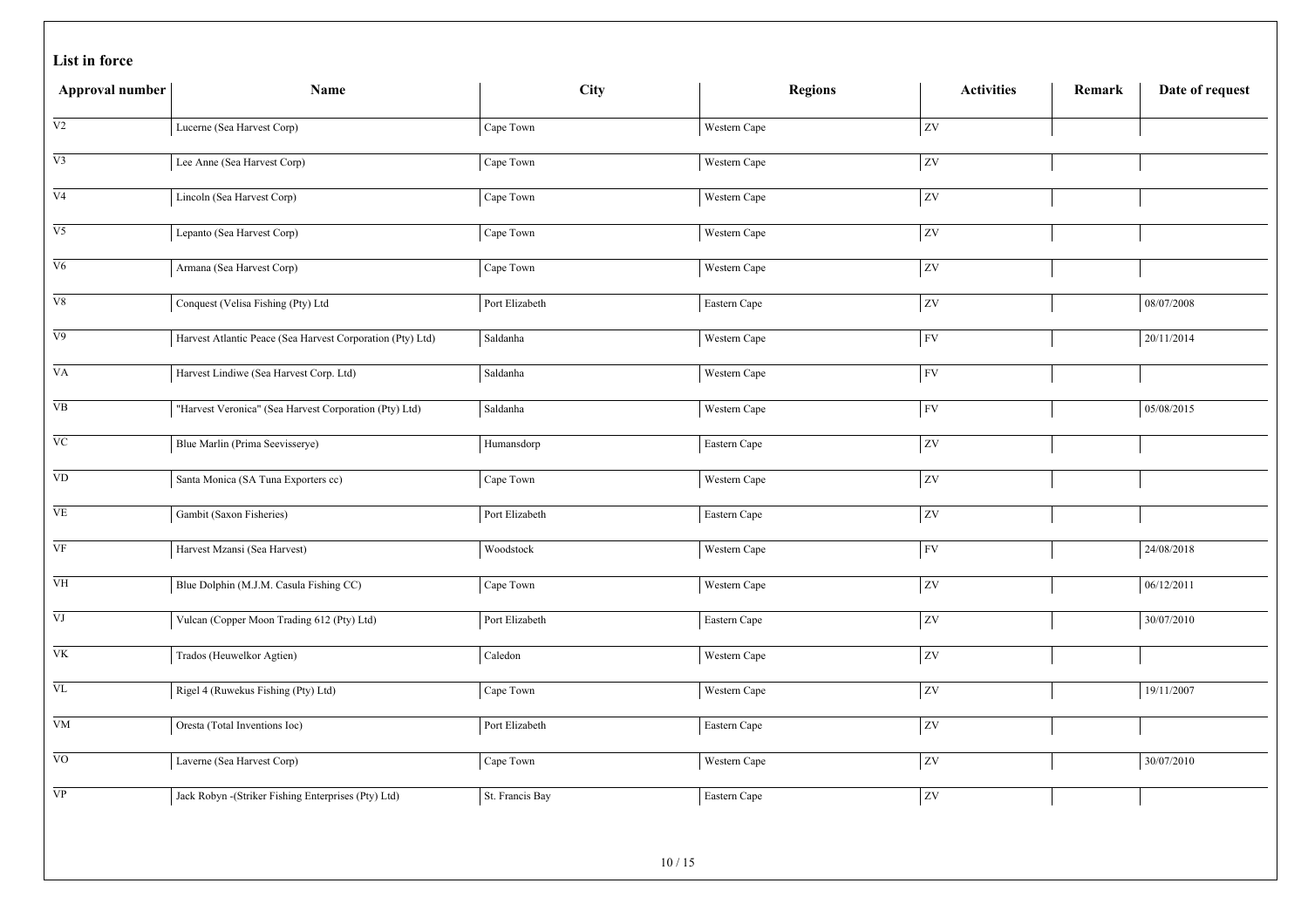| Approval number        | Name                                                       | City            | <b>Regions</b> | <b>Activities</b> | Remark | Date of request |
|------------------------|------------------------------------------------------------|-----------------|----------------|-------------------|--------|-----------------|
| $\overline{V2}$        | Lucerne (Sea Harvest Corp)                                 | Cape Town       | Western Cape   | ZV                |        |                 |
| V <sub>3</sub>         | Lee Anne (Sea Harvest Corp)                                | Cape Town       | Western Cape   | zv                |        |                 |
| V <sub>4</sub>         | Lincoln (Sea Harvest Corp)                                 | Cape Town       | Western Cape   | $ _{\rm ZV}$      |        |                 |
| V <sub>5</sub>         | Lepanto (Sea Harvest Corp)                                 | Cape Town       | Western Cape   | ZV                |        |                 |
| V6                     | Armana (Sea Harvest Corp)                                  | Cape Town       | Western Cape   | zv                |        |                 |
| ${\rm V}8$             | Conquest (Velisa Fishing (Pty) Ltd                         | Port Elizabeth  | Eastern Cape   | ZV                |        | 08/07/2008      |
| V9                     | Harvest Atlantic Peace (Sea Harvest Corporation (Pty) Ltd) | Saldanha        | Western Cape   | FV                |        | 20/11/2014      |
| VA                     | Harvest Lindiwe (Sea Harvest Corp. Ltd)                    | Saldanha        | Western Cape   | FV                |        |                 |
| <b>VB</b>              | "Harvest Veronica" (Sea Harvest Corporation (Pty) Ltd)     | Saldanha        | Western Cape   | <b>FV</b>         |        | 05/08/2015      |
| $\rm VC$               | Blue Marlin (Prima Seevisserye)                            | Humansdorp      | Eastern Cape   | ZV                |        |                 |
| $\rm{VD}$              | Santa Monica (SA Tuna Exporters cc)                        | Cape Town       | Western Cape   | $ _{\rm ZV}$      |        |                 |
| VE                     | Gambit (Saxon Fisheries)                                   | Port Elizabeth  | Eastern Cape   | ZV                |        |                 |
| VF                     | Harvest Mzansi (Sea Harvest)                               | Woodstock       | Western Cape   | FV                |        | 24/08/2018      |
| $\overline{\text{VH}}$ | Blue Dolphin (M.J.M. Casula Fishing CC)                    | Cape Town       | Western Cape   | <b>ZV</b>         |        | 06/12/2011      |
| VJ                     | Vulcan (Copper Moon Trading 612 (Pty) Ltd)                 | Port Elizabeth  | Eastern Cape   | zv                |        | 30/07/2010      |
| $\overline{\text{VK}}$ | Trados (Heuwelkor Agtien)                                  | Caledon         | Western Cape   | <b>ZV</b>         |        |                 |
| $\overline{\text{VL}}$ | Rigel 4 (Ruwekus Fishing (Pty) Ltd)                        | Cape Town       | Western Cape   | ZV                |        | 19/11/2007      |
| ${\rm VM}$             | Oresta (Total Inventions Ioc)                              | Port Elizabeth  | Eastern Cape   | ZV                |        |                 |
| <b>VO</b>              | Laverne (Sea Harvest Corp)                                 | Cape Town       | Western Cape   | ZV                |        | 30/07/2010      |
| $\overline{VP}$        | Jack Robyn - (Striker Fishing Enterprises (Pty) Ltd)       | St. Francis Bay | Eastern Cape   | zv                |        |                 |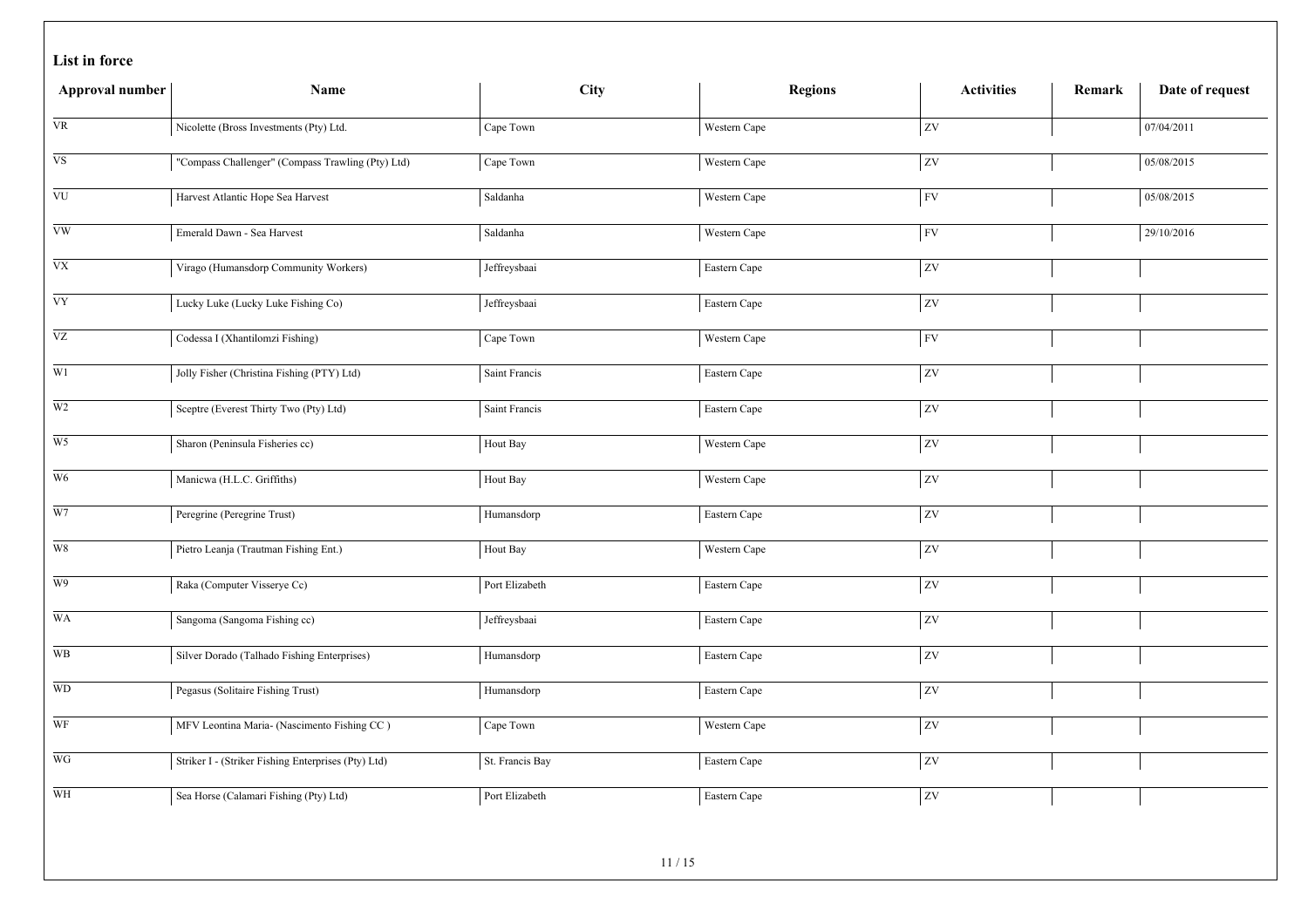|  |  | List in force |
|--|--|---------------|
|--|--|---------------|

| Approval number        | Name                                                | <b>City</b>     | <b>Regions</b> | <b>Activities</b> | Remark | Date of request |
|------------------------|-----------------------------------------------------|-----------------|----------------|-------------------|--------|-----------------|
| <b>VR</b>              | Nicolette (Bross Investments (Pty) Ltd.             | Cape Town       | Western Cape   | ZV                |        | 07/04/2011      |
| $_{\rm VS}$            | "Compass Challenger" (Compass Trawling (Pty) Ltd)   | Cape Town       | Western Cape   | zv                |        | 05/08/2015      |
| <b>VU</b>              | Harvest Atlantic Hope Sea Harvest                   | Saldanha        | Western Cape   | <b>FV</b>         |        | 05/08/2015      |
| $\overline{\text{vw}}$ | Emerald Dawn - Sea Harvest                          | Saldanha        | Western Cape   | <b>FV</b>         |        | 29/10/2016      |
| ${\rm V}{\rm X}$       | Virago (Humansdorp Community Workers)               | Jeffreysbaai    | Eastern Cape   | ZV                |        |                 |
| <b>VY</b>              | Lucky Luke (Lucky Luke Fishing Co)                  | Jeffreysbaai    | Eastern Cape   | ZV                |        |                 |
| $\overline{VZ}$        | Codessa I (Xhantilomzi Fishing)                     | Cape Town       | Western Cape   | <b>FV</b>         |        |                 |
| $\overline{W1}$        | Jolly Fisher (Christina Fishing (PTY) Ltd)          | Saint Francis   | Eastern Cape   | zv                |        |                 |
| W <sub>2</sub>         | Sceptre (Everest Thirty Two (Pty) Ltd)              | Saint Francis   | Eastern Cape   | $ _{\rm ZV}$      |        |                 |
| $\overline{W5}$        | Sharon (Peninsula Fisheries cc)                     | Hout Bay        | Western Cape   | zv                |        |                 |
| W <sub>6</sub>         | Manicwa (H.L.C. Griffiths)                          | Hout Bay        | Western Cape   | $ $ ZV            |        |                 |
| $\overline{W}$         | Peregrine (Peregrine Trust)                         | Humansdorp      | Eastern Cape   | <b>ZV</b>         |        |                 |
| $\,$ W8 $\,$           | Pietro Leanja (Trautman Fishing Ent.)               | Hout Bay        | Western Cape   | ZV                |        |                 |
| W9                     | Raka (Computer Visserye Cc)                         | Port Elizabeth  | Eastern Cape   | zv                |        |                 |
| WA                     | Sangoma (Sangoma Fishing cc)                        | Jeffreysbaai    | Eastern Cape   | ZV                |        |                 |
| WB                     | Silver Dorado (Talhado Fishing Enterprises)         | Humansdorp      | Eastern Cape   | zv                |        |                 |
| <b>WD</b>              | Pegasus (Solitaire Fishing Trust)                   | Humansdorp      | Eastern Cape   | ZV                |        |                 |
| WF                     | MFV Leontina Maria- (Nascimento Fishing CC)         | Cape Town       | Western Cape   | zv                |        |                 |
| WG                     | Striker I - (Striker Fishing Enterprises (Pty) Ltd) | St. Francis Bay | Eastern Cape   | ZV                |        |                 |
| WH                     | Sea Horse (Calamari Fishing (Pty) Ltd)              | Port Elizabeth  | Eastern Cape   | <b>ZV</b>         |        |                 |
|                        |                                                     | 11/15           |                |                   |        |                 |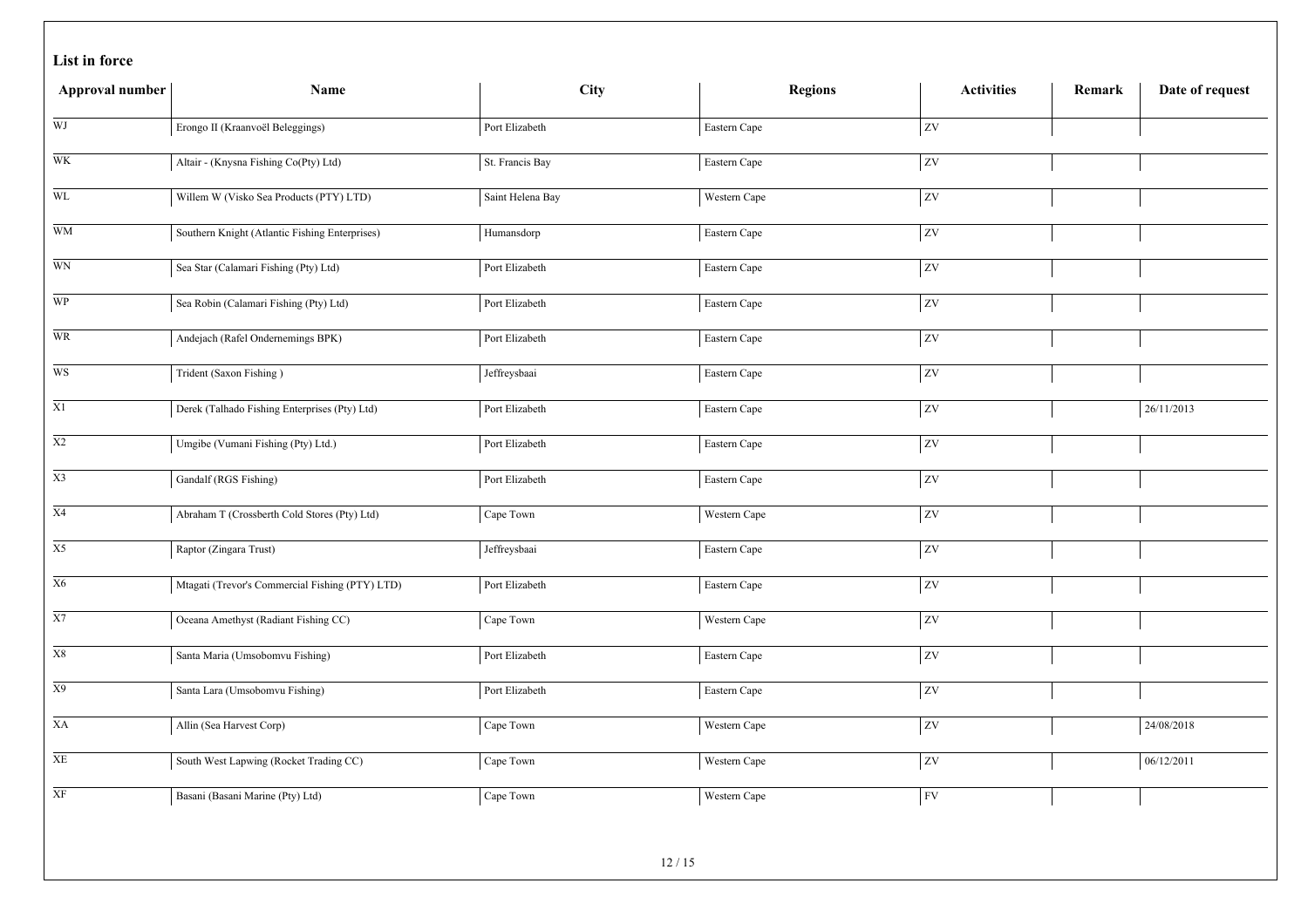|  |  | List in force |
|--|--|---------------|
|--|--|---------------|

| Approval number            | Name                                            | <b>City</b>      | <b>Regions</b> | <b>Activities</b> | Remark | Date of request |
|----------------------------|-------------------------------------------------|------------------|----------------|-------------------|--------|-----------------|
| WJ                         | Erongo II (Kraanvoël Beleggings)                | Port Elizabeth   | Eastern Cape   | zv                |        |                 |
| WK                         | Altair - (Knysna Fishing Co(Pty) Ltd)           | St. Francis Bay  | Eastern Cape   | zv                |        |                 |
| <b>WL</b>                  | Willem W (Visko Sea Products (PTY) LTD)         | Saint Helena Bay | Western Cape   | $\overline{z}$    |        |                 |
| <b>WM</b>                  | Southern Knight (Atlantic Fishing Enterprises)  | Humansdorp       | Eastern Cape   | ZV                |        |                 |
| $\overline{WN}$            | Sea Star (Calamari Fishing (Pty) Ltd)           | Port Elizabeth   | Eastern Cape   | ZV                |        |                 |
| <b>WP</b>                  | Sea Robin (Calamari Fishing (Pty) Ltd)          | Port Elizabeth   | Eastern Cape   | ZV                |        |                 |
| $\overline{\text{WR}}$     | Andejach (Rafel Ondernemings BPK)               | Port Elizabeth   | Eastern Cape   | $\overline{z}$    |        |                 |
| $\overline{WS}$            | Trident (Saxon Fishing)                         | Jeffreysbaai     | Eastern Cape   | zv                |        |                 |
| X1                         | Derek (Talhado Fishing Enterprises (Pty) Ltd)   | Port Elizabeth   | Eastern Cape   | $ _{\text{ZV}}$   |        | 26/11/2013      |
| $\overline{X2}$            | Umgibe (Vumani Fishing (Pty) Ltd.)              | Port Elizabeth   | Eastern Cape   | zv                |        |                 |
| X3                         | Gandalf (RGS Fishing)                           | Port Elizabeth   | Eastern Cape   | zv                |        |                 |
| $\overline{X4}$            | Abraham T (Crossberth Cold Stores (Pty) Ltd)    | Cape Town        | Western Cape   | zv                |        |                 |
| X5                         | Raptor (Zingara Trust)                          | Jeffreysbaai     | Eastern Cape   | zv                |        |                 |
| X6                         | Mtagati (Trevor's Commercial Fishing (PTY) LTD) | Port Elizabeth   | Eastern Cape   | $\overline{z}$    |        |                 |
| $\mathbf{X}7$              | Oceana Amethyst (Radiant Fishing CC)            | Cape Town        | Western Cape   | ZV                |        |                 |
| X8                         | Santa Maria (Umsobomvu Fishing)                 | Port Elizabeth   | Eastern Cape   | ZV                |        |                 |
| X9                         | Santa Lara (Umsobomvu Fishing)                  | Port Elizabeth   | Eastern Cape   | $ _{\rm ZV}$      |        |                 |
| $\mathbf{X}\mathbf{A}$     | Allin (Sea Harvest Corp)                        | Cape Town        | Western Cape   | zv                |        | 24/08/2018      |
| $\ensuremath{\mathbf{XE}}$ | South West Lapwing (Rocket Trading CC)          | Cape Town        | Western Cape   | $\overline{ZV}$   |        | 06/12/2011      |
| $\overline{\text{XF}}$     | Basani (Basani Marine (Pty) Ltd)                | Cape Town        | Western Cape   | FV                |        |                 |
|                            |                                                 | 10111            |                |                   |        |                 |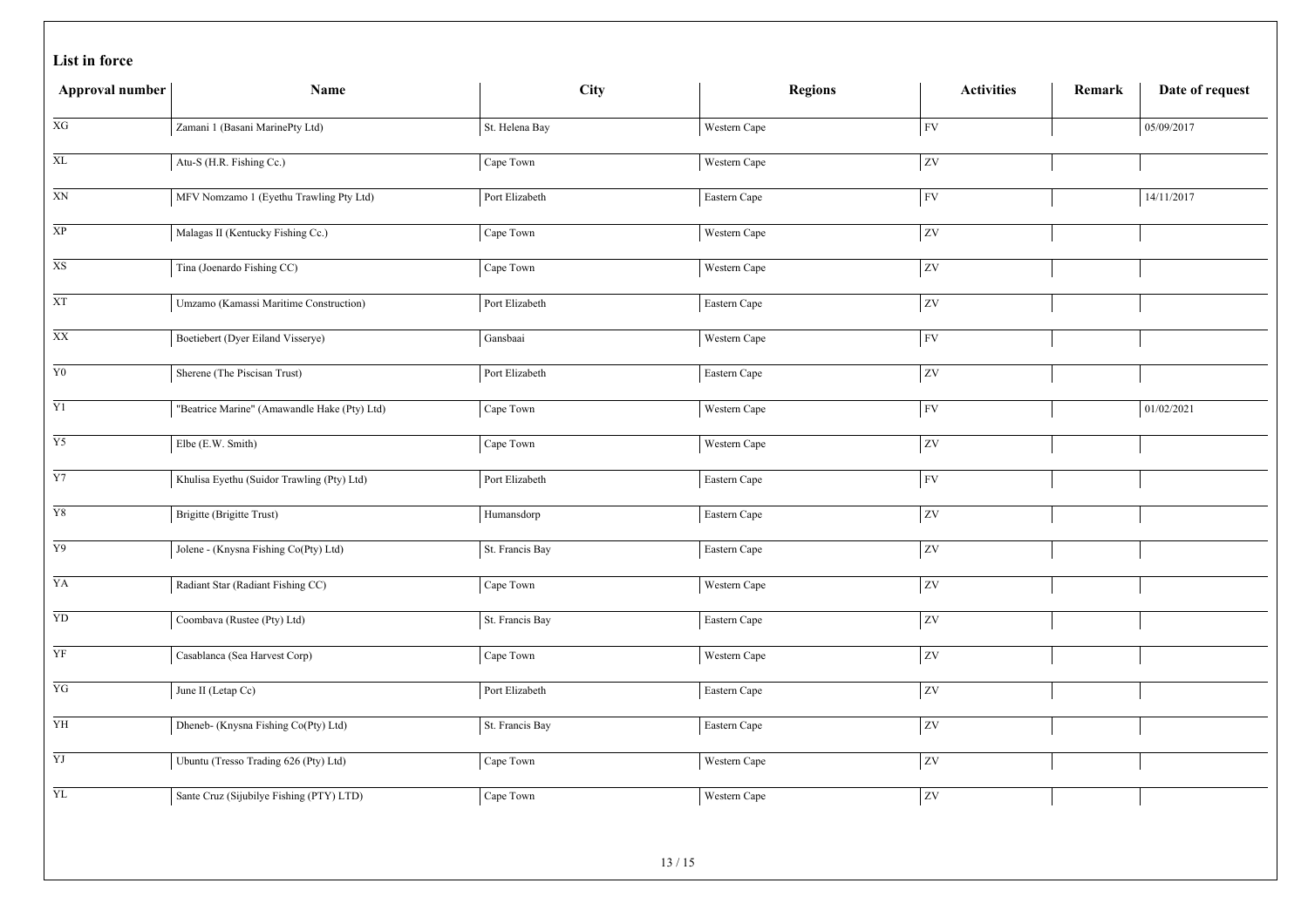|  |  | List in force |
|--|--|---------------|
|--|--|---------------|

| Approval number | Name                                         | City            | <b>Regions</b> | <b>Activities</b>      | Remark | Date of request |
|-----------------|----------------------------------------------|-----------------|----------------|------------------------|--------|-----------------|
| XG              | Zamani 1 (Basani MarinePty Ltd)              | St. Helena Bay  | Western Cape   | <b>FV</b>              |        | 05/09/2017      |
| $\mathbf{XL}$   | Atu-S (H.R. Fishing Cc.)                     | Cape Town       | Western Cape   | ZV                     |        |                 |
| XN              | MFV Nomzamo 1 (Eyethu Trawling Pty Ltd)      | Port Elizabeth  | Eastern Cape   | FV                     |        | 14/11/2017      |
| $\overline{XP}$ | Malagas II (Kentucky Fishing Cc.)            | Cape Town       | Western Cape   | $\overline{zv}$        |        |                 |
| $\overline{X}S$ | Tina (Joenardo Fishing CC)                   | Cape Town       | Western Cape   | ZV                     |        |                 |
| <b>XT</b>       | Umzamo (Kamassi Maritime Construction)       | Port Elizabeth  | Eastern Cape   | ZV                     |        |                 |
| $\overline{XX}$ | Boetiebert (Dyer Eiland Visserye)            | Gansbaai        | Western Cape   | FV                     |        |                 |
| ${\bf Y0}$      | Sherene (The Piscisan Trust)                 | Port Elizabeth  | Eastern Cape   | zv                     |        |                 |
| $\overline{Y1}$ | "Beatrice Marine" (Amawandle Hake (Pty) Ltd) | Cape Town       | Western Cape   | FV                     |        | 01/02/2021      |
| $\overline{Y5}$ | Elbe (E.W. Smith)                            | Cape Town       | Western Cape   | $\overline{z}$         |        |                 |
| $\overline{Y7}$ | Khulisa Eyethu (Suidor Trawling (Pty) Ltd)   | Port Elizabeth  | Eastern Cape   | FV                     |        |                 |
| $\overline{Y8}$ | Brigitte (Brigitte Trust)                    | Humansdorp      | Eastern Cape   | zv                     |        |                 |
| Y9              | Jolene - (Knysna Fishing Co(Pty) Ltd)        | St. Francis Bay | Eastern Cape   | ZV                     |        |                 |
| YA              | Radiant Star (Radiant Fishing CC)            | Cape Town       | Western Cape   | ZV                     |        |                 |
| YD              | Coombava (Rustee (Pty) Ltd)                  | St. Francis Bay | Eastern Cape   | $\mathbf{Z}\mathbf{V}$ |        |                 |
| YF              | Casablanca (Sea Harvest Corp)                | Cape Town       | Western Cape   | <b>ZV</b>              |        |                 |
| $\overline{YG}$ | June II (Letap Cc)                           | Port Elizabeth  | Eastern Cape   | $ z_{V} $              |        |                 |
| YH              | Dheneb- (Knysna Fishing Co(Pty) Ltd)         | St. Francis Bay | Eastern Cape   | zv                     |        |                 |
| $\overline{YJ}$ | Ubuntu (Tresso Trading 626 (Pty) Ltd)        | Cape Town       | Western Cape   | $\overline{ZV}$        |        |                 |
| YL              | Sante Cruz (Sijubilye Fishing (PTY) LTD)     | Cape Town       | Western Cape   | <b>ZV</b>              |        |                 |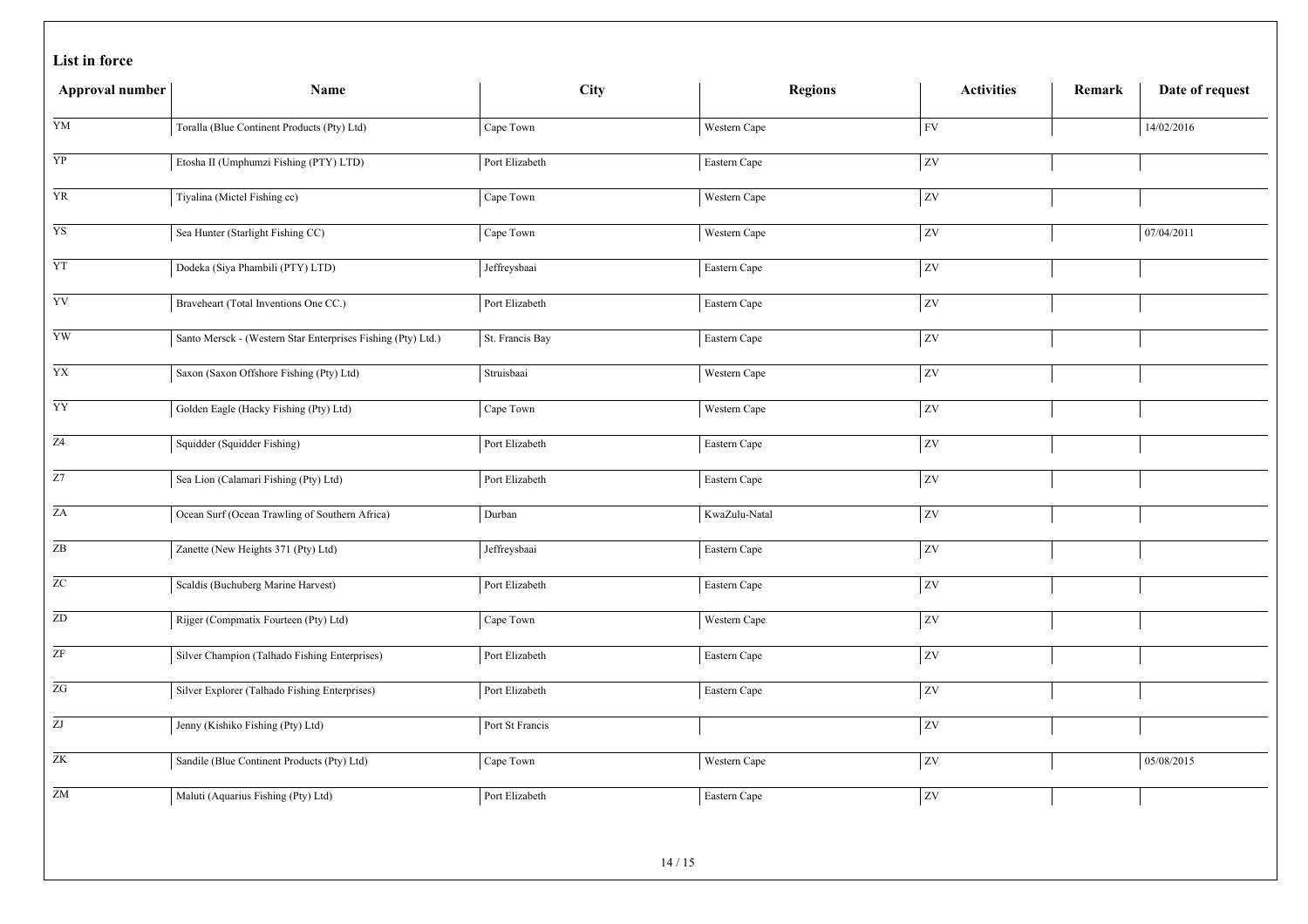|  |  | List in force |
|--|--|---------------|
|--|--|---------------|

| Approval number            | Name                                                         | City            | <b>Regions</b> | <b>Activities</b>        | Remark | Date of request |
|----------------------------|--------------------------------------------------------------|-----------------|----------------|--------------------------|--------|-----------------|
| YM                         | Toralla (Blue Continent Products (Pty) Ltd)                  | Cape Town       | Western Cape   | ${\rm FV}$               |        | 14/02/2016      |
| ${\bf Y}{\bf P}$           | Etosha II (Umphumzi Fishing (PTY) LTD)                       | Port Elizabeth  | Eastern Cape   | ${\it ZV}$               |        |                 |
| <b>YR</b>                  | Tiyalina (Mictel Fishing cc)                                 | Cape Town       | Western Cape   | ${\it ZV}$               |        |                 |
| $\overline{YS}$            | Sea Hunter (Starlight Fishing CC)                            | Cape Town       | Western Cape   | $\overline{\text{ZV}}$   |        | 07/04/2011      |
| YT                         | Dodeka (Siya Phambili (PTY) LTD)                             | Jeffreysbaai    | Eastern Cape   | ${\it ZV}$               |        |                 |
| YV                         | Braveheart (Total Inventions One CC.)                        | Port Elizabeth  | Eastern Cape   | $\overline{\text{ZV}}$   |        |                 |
| $\overline{YW}$            | Santo Mersck - (Western Star Enterprises Fishing (Pty) Ltd.) | St. Francis Bay | Eastern Cape   | ${\rm ZV}$               |        |                 |
| $\overline{YX}$            | Saxon (Saxon Offshore Fishing (Pty) Ltd)                     | Struisbaai      | Western Cape   | $\overline{\text{ZV}}$   |        |                 |
| YY                         | Golden Eagle (Hacky Fishing (Pty) Ltd)                       | Cape Town       | Western Cape   | $\mathbf{Z}\mathbf{V}$   |        |                 |
| $\overline{Z4}$            | Squidder (Squidder Fishing)                                  | Port Elizabeth  | Eastern Cape   | ${\rm ZV}$               |        |                 |
| $\overline{Z7}$            | Sea Lion (Calamari Fishing (Pty) Ltd)                        | Port Elizabeth  | Eastern Cape   | $\overline{\textrm{ZV}}$ |        |                 |
| $\overline{ZA}$            | Ocean Surf (Ocean Trawling of Southern Africa)               | Durban          | KwaZulu-Natal  | ${\rm ZV}$               |        |                 |
| $\ensuremath{\mathsf{ZB}}$ | Zanette (New Heights 371 (Pty) Ltd)                          | Jeffreysbaai    | Eastern Cape   | $ _{\rm ZV}$             |        |                 |
| $\overline{z}$ C           | Scaldis (Buchuberg Marine Harvest)                           | Port Elizabeth  | Eastern Cape   | $\overline{\text{ZV}}$   |        |                 |
| ${\rm ZD}$                 | Rijger (Compmatix Fourteen (Pty) Ltd)                        | Cape Town       | Western Cape   | ${\rm ZV}$               |        |                 |
| ZF                         | Silver Champion (Talhado Fishing Enterprises)                | Port Elizabeth  | Eastern Cape   | ZV                       |        |                 |
| $\overline{ZG}$            | Silver Explorer (Talhado Fishing Enterprises)                | Port Elizabeth  | Eastern Cape   | ${\rm ZV}$               |        |                 |
| $\overline{\mathrm{ZJ}}$   | Jenny (Kishiko Fishing (Pty) Ltd)                            | Port St Francis |                | ${\rm ZV}$               |        |                 |
| ZK                         | Sandile (Blue Continent Products (Pty) Ltd)                  | Cape Town       | Western Cape   | ${\rm ZV}$               |        | 05/08/2015      |
| ${\rm ZM}$                 | Maluti (Aquarius Fishing (Pty) Ltd)                          | Port Elizabeth  | Eastern Cape   | <b>ZV</b>                |        |                 |